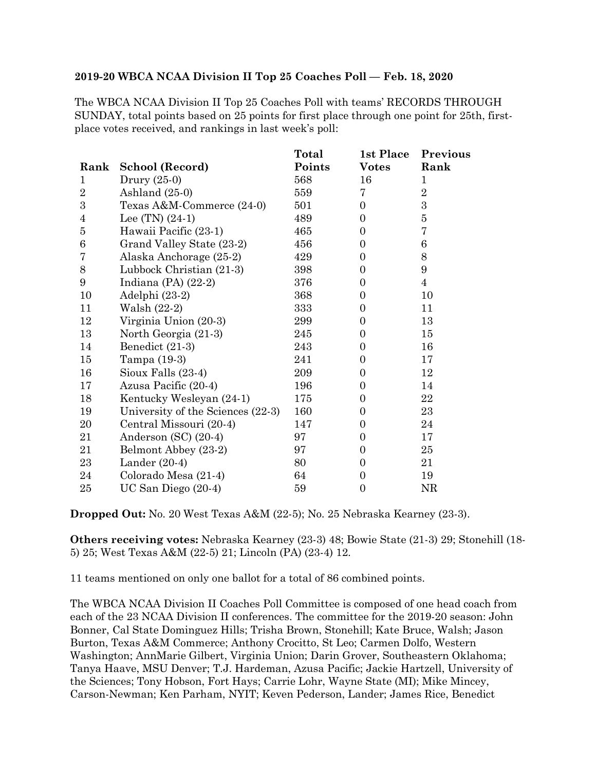## **2019-20 WBCA NCAA Division II Top 25 Coaches Poll — Feb. 18, 2020**

The WBCA NCAA Division II Top 25 Coaches Poll with teams' RECORDS THROUGH SUNDAY, total points based on 25 points for first place through one point for 25th, firstplace votes received, and rankings in last week's poll:

|                |                                   | Total  | 1st Place        | Previous       |
|----------------|-----------------------------------|--------|------------------|----------------|
|                | Rank School (Record)              | Points | <b>Votes</b>     | Rank           |
| 1              | Drury $(25-0)$                    | 568    | 16               | $\mathbf{1}$   |
| $\overline{2}$ | Ashland $(25-0)$                  | 559    | 7                | $\overline{2}$ |
| 3              | Texas A&M-Commerce (24-0)         | 501    | $\boldsymbol{0}$ | 3              |
| $\overline{4}$ | Lee $(TN)$ $(24-1)$               | 489    | $\boldsymbol{0}$ | $\bf 5$        |
| 5              | Hawaii Pacific (23-1)             | 465    | $\overline{0}$   | $\overline{7}$ |
| $\,6$          | Grand Valley State (23-2)         | 456    | $\boldsymbol{0}$ | 6              |
| 7              | Alaska Anchorage (25-2)           | 429    | $\boldsymbol{0}$ | $8\,$          |
| 8              | Lubbock Christian (21-3)          | 398    | $\overline{0}$   | 9              |
| 9              | Indiana (PA) $(22-2)$             | 376    | $\boldsymbol{0}$ | $\overline{4}$ |
| 10             | Adelphi (23-2)                    | 368    | $\overline{0}$   | 10             |
| 11             | Walsh (22-2)                      | 333    | $\boldsymbol{0}$ | 11             |
| 12             | Virginia Union (20-3)             | 299    | $\boldsymbol{0}$ | 13             |
| 13             | North Georgia (21-3)              | 245    | $\overline{0}$   | 15             |
| 14             | Benedict (21-3)                   | 243    | $\overline{0}$   | 16             |
| 15             | Tampa (19-3)                      | 241    | $\overline{0}$   | 17             |
| 16             | Sioux Falls (23-4)                | 209    | $\boldsymbol{0}$ | 12             |
| 17             | Azusa Pacific (20-4)              | 196    | $\boldsymbol{0}$ | 14             |
| 18             | Kentucky Wesleyan (24-1)          | 175    | $\overline{0}$   | 22             |
| 19             | University of the Sciences (22-3) | 160    | $\boldsymbol{0}$ | 23             |
| 20             | Central Missouri (20-4)           | 147    | $\boldsymbol{0}$ | 24             |
| 21             | Anderson $(SC)$ $(20-4)$          | 97     | $\boldsymbol{0}$ | 17             |
| 21             | Belmont Abbey (23-2)              | 97     | $\overline{0}$   | 25             |
| 23             | Lander $(20-4)$                   | 80     | $\overline{0}$   | 21             |
| 24             | Colorado Mesa (21-4)              | 64     | $\overline{0}$   | 19             |
| 25             | UC San Diego (20-4)               | 59     | $\boldsymbol{0}$ | NR             |

**Dropped Out:** No. 20 West Texas A&M (22-5); No. 25 Nebraska Kearney (23-3).

**Others receiving votes:** Nebraska Kearney (23-3) 48; Bowie State (21-3) 29; Stonehill (18- 5) 25; West Texas A&M (22-5) 21; Lincoln (PA) (23-4) 12.

11 teams mentioned on only one ballot for a total of 86 combined points.

The WBCA NCAA Division II Coaches Poll Committee is composed of one head coach from each of the 23 NCAA Division II conferences. The committee for the 2019-20 season: John Bonner, Cal State Dominguez Hills; Trisha Brown, Stonehill; Kate Bruce, Walsh; Jason Burton, Texas A&M Commerce; Anthony Crocitto, St Leo; Carmen Dolfo, Western Washington; AnnMarie Gilbert, Virginia Union; Darin Grover, Southeastern Oklahoma; Tanya Haave, MSU Denver; T.J. Hardeman, Azusa Pacific; Jackie Hartzell, University of the Sciences; Tony Hobson, Fort Hays; Carrie Lohr, Wayne State (MI); Mike Mincey, Carson-Newman; Ken Parham, NYIT; Keven Pederson, Lander; James Rice, Benedict